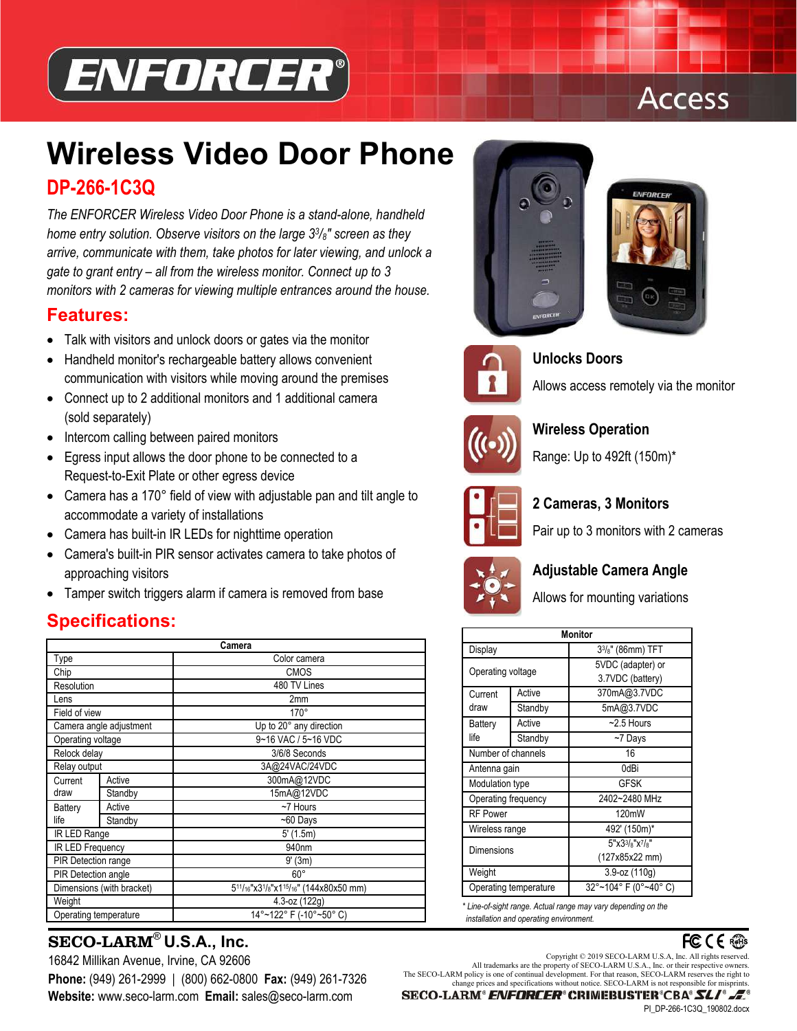

# **Access**

# **Wireless Video Door Phone DP-266-1C3Q**

*The ENFORCER Wireless Video Door Phone is a stand-alone, handheld home entry solution. Observe visitors on the large 33/8" screen as they arrive, communicate with them, take photos for later viewing, and unlock a gate to grant entry – all from the wireless monitor. Connect up to 3 monitors with 2 cameras for viewing multiple entrances around the house.* 

#### **Features:**

- Talk with visitors and unlock doors or gates via the monitor
- Handheld monitor's rechargeable battery allows convenient communication with visitors while moving around the premises
- Connect up to 2 additional monitors and 1 additional camera (sold separately)
- Intercom calling between paired monitors
- Egress input allows the door phone to be connected to a Request-to-Exit Plate or other egress device
- Camera has a 170° field of view with adjustable pan and tilt angle to accommodate a variety of installations
- Camera has built-in IR LEDs for nighttime operation
- Camera's built-in PIR sensor activates camera to take photos of approaching visitors
- Tamper switch triggers alarm if camera is removed from base

## **Specifications:**

| Camera                     |         |                                                                                      |  |
|----------------------------|---------|--------------------------------------------------------------------------------------|--|
| Type                       |         | Color camera                                                                         |  |
| Chip                       |         | <b>CMOS</b>                                                                          |  |
| Resolution                 |         | 480 TV Lines                                                                         |  |
| Lens                       |         | 2mm                                                                                  |  |
| Field of view              |         | $170^\circ$                                                                          |  |
| Camera angle adjustment    |         | Up to 20° any direction                                                              |  |
| Operating voltage          |         | 9~16 VAC / 5~16 VDC                                                                  |  |
| Relock delay               |         | 3/6/8 Seconds                                                                        |  |
| Relay output               |         | 3A@24VAC/24VDC                                                                       |  |
| Current                    | Active  | 300mA@12VDC                                                                          |  |
| draw                       | Standby | 15mA@12VDC                                                                           |  |
| Battery<br>life            | Active  | $~\sim$ 7 Hours                                                                      |  |
|                            | Standby | $~50$ Days                                                                           |  |
| IR LED Range               |         | 5'(1.5m)                                                                             |  |
| IR LED Frequency           |         | 940nm                                                                                |  |
| <b>PIR Detection range</b> |         | $9'$ (3m)                                                                            |  |
| <b>PIR Detection angle</b> |         | $60^\circ$                                                                           |  |
| Dimensions (with bracket)  |         | $5^{11}/_{16}$ "x3 $1\frac{1}{8}$ "x1 <sup>15</sup> / <sub>16</sub> " (144x80x50 mm) |  |
| Weight                     |         | 4.3-oz (122g)                                                                        |  |
| Operating temperature      |         | 14°~122° F (-10°~50° C)                                                              |  |

# SECO-LARM<sup>®</sup> U.S.A., Inc. *SECO-LARM<sup>®</sup> U.S.A.***, Inc.**<br> **Copyright © 2019 SECO-LARM U.S.A.** Inc. All rights reserved.

**Website:** www.seco-larm.com **Email:** sales@seco-larm.com







**Unlocks Doors** 

Allows access remotely via the monitor



**Wireless Operation** 

Range: Up to 492ft (150m)\*



### **2 Cameras, 3 Monitors**

Pair up to 3 monitors with 2 cameras



### **Adjustable Camera Angle**

Allows for mounting variations

| <b>Monitor</b>      |                       |                             |  |  |
|---------------------|-----------------------|-----------------------------|--|--|
| Display             |                       | $3\frac{3}{8}$ " (86mm) TFT |  |  |
| Operating voltage   |                       | 5VDC (adapter) or           |  |  |
|                     |                       | 3.7VDC (battery)            |  |  |
| Current             | Active                | 370mA@3.7VDC                |  |  |
| draw                | Standby               | 5mA@3.7VDC                  |  |  |
| <b>Battery</b>      | Active                | $~2.5$ Hours                |  |  |
| life                | Standby               | ~7 Days                     |  |  |
| Number of channels  |                       | 16                          |  |  |
| Antenna gain        |                       | 0dBi                        |  |  |
| Modulation type     |                       | <b>GFSK</b>                 |  |  |
| Operating frequency |                       | 2402~2480 MHz               |  |  |
| <b>RF Power</b>     |                       | 120mW                       |  |  |
| Wireless range      |                       | 492' (150m)*                |  |  |
| Dimensions          |                       | 5"x33/s"x7/s"               |  |  |
|                     |                       | (127x85x22 mm)              |  |  |
| Weight              |                       | $3.9 - oz(110g)$            |  |  |
|                     | Operating temperature | 32°~104° F (0°~40° C)       |  |  |
|                     |                       |                             |  |  |

*\* Line-of-sight range. Actual range may vary depending on the installation and operating environment.* 



16842 Millikan Avenue, Irvine, CA 92606 Copyright © 2019 SECO-LARM U.S.A, Inc. All rights reserved.<br>All trademarks are the property of SECO-LARM U.S.A., Inc. or their respective owners. **Phone:** (949) 261-2999 | (800) 662-0800 **Fax:** (949) 261-7326<br>change prices and specifications without notice. SECO-LARM is not responsible for misprints.

SECO-LARM® ENFORCER® CRIMEBUSTER®CBA® SLI®

PI\_DP-266-1C3Q\_190802.docx